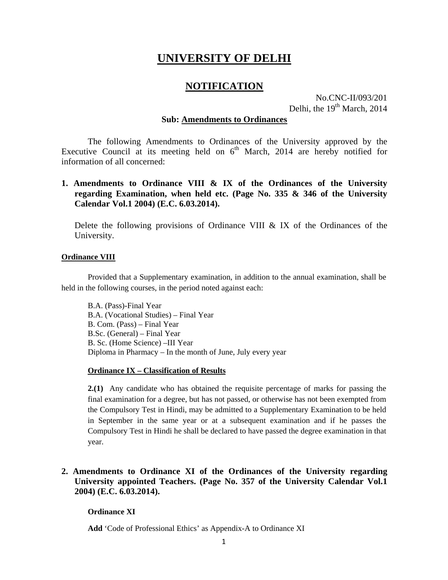# **UNIVERSITY OF DELHI**

### **NOTIFICATION**

No.CNC-II/093/201 Delhi, the  $19<sup>th</sup>$  March, 2014

#### **Sub: Amendments to Ordinances**

 The following Amendments to Ordinances of the University approved by the Executive Council at its meeting held on  $6<sup>th</sup>$  March, 2014 are hereby notified for information of all concerned:

### **1. Amendments to Ordinance VIII & IX of the Ordinances of the University regarding Examination, when held etc. (Page No. 335 & 346 of the University Calendar Vol.1 2004) (E.C. 6.03.2014).**

 Delete the following provisions of Ordinance VIII & IX of the Ordinances of the University.

#### **Ordinance VIII**

 Provided that a Supplementary examination, in addition to the annual examination, shall be held in the following courses, in the period noted against each:

 B.A. (Pass)-Final Year B.A. (Vocational Studies) – Final Year B. Com. (Pass) – Final Year B.Sc. (General) – Final Year B. Sc. (Home Science) –III Year Diploma in Pharmacy – In the month of June, July every year

#### **Ordinance IX – Classification of Results**

 **2.(1)** Any candidate who has obtained the requisite percentage of marks for passing the final examination for a degree, but has not passed, or otherwise has not been exempted from the Compulsory Test in Hindi, may be admitted to a Supplementary Examination to be held in September in the same year or at a subsequent examination and if he passes the Compulsory Test in Hindi he shall be declared to have passed the degree examination in that year.

### **2. Amendments to Ordinance XI of the Ordinances of the University regarding University appointed Teachers. (Page No. 357 of the University Calendar Vol.1 2004) (E.C. 6.03.2014).**

#### **Ordinance XI**

**Add** 'Code of Professional Ethics' as Appendix-A to Ordinance XI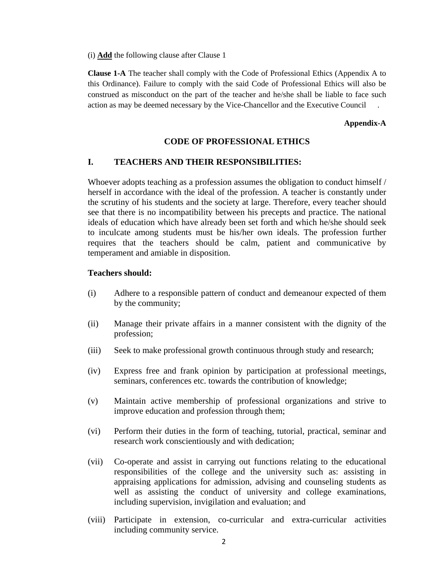(i) **Add** the following clause after Clause 1

 **Clause 1-A** The teacher shall comply with the Code of Professional Ethics (Appendix A to this Ordinance). Failure to comply with the said Code of Professional Ethics will also be construed as misconduct on the part of the teacher and he/she shall be liable to face such action as may be deemed necessary by the Vice-Chancellor and the Executive Council .

#### **Appendix-A**

#### **CODE OF PROFESSIONAL ETHICS**

#### **I. TEACHERS AND THEIR RESPONSIBILITIES:**

Whoever adopts teaching as a profession assumes the obligation to conduct himself / herself in accordance with the ideal of the profession. A teacher is constantly under the scrutiny of his students and the society at large. Therefore, every teacher should see that there is no incompatibility between his precepts and practice. The national ideals of education which have already been set forth and which he/she should seek to inculcate among students must be his/her own ideals. The profession further requires that the teachers should be calm, patient and communicative by temperament and amiable in disposition.

#### **Teachers should:**

- (i) Adhere to a responsible pattern of conduct and demeanour expected of them by the community;
- (ii) Manage their private affairs in a manner consistent with the dignity of the profession;
- (iii) Seek to make professional growth continuous through study and research;
- (iv) Express free and frank opinion by participation at professional meetings, seminars, conferences etc. towards the contribution of knowledge;
- (v) Maintain active membership of professional organizations and strive to improve education and profession through them;
- (vi) Perform their duties in the form of teaching, tutorial, practical, seminar and research work conscientiously and with dedication;
- (vii) Co-operate and assist in carrying out functions relating to the educational responsibilities of the college and the university such as: assisting in appraising applications for admission, advising and counseling students as well as assisting the conduct of university and college examinations, including supervision, invigilation and evaluation; and
- (viii) Participate in extension, co-curricular and extra-curricular activities including community service.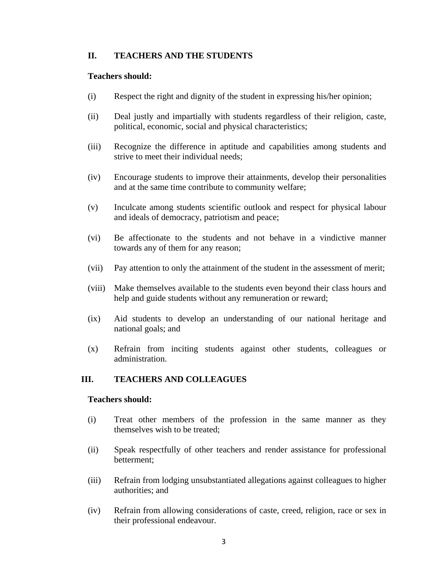### **II. TEACHERS AND THE STUDENTS**

### **Teachers should:**

- (i) Respect the right and dignity of the student in expressing his/her opinion;
- (ii) Deal justly and impartially with students regardless of their religion, caste, political, economic, social and physical characteristics;
- (iii) Recognize the difference in aptitude and capabilities among students and strive to meet their individual needs;
- (iv) Encourage students to improve their attainments, develop their personalities and at the same time contribute to community welfare;
- (v) Inculcate among students scientific outlook and respect for physical labour and ideals of democracy, patriotism and peace;
- (vi) Be affectionate to the students and not behave in a vindictive manner towards any of them for any reason;
- (vii) Pay attention to only the attainment of the student in the assessment of merit;
- (viii) Make themselves available to the students even beyond their class hours and help and guide students without any remuneration or reward;
- (ix) Aid students to develop an understanding of our national heritage and national goals; and
- (x) Refrain from inciting students against other students, colleagues or administration.

### **III. TEACHERS AND COLLEAGUES**

### **Teachers should:**

- (i) Treat other members of the profession in the same manner as they themselves wish to be treated;
- (ii) Speak respectfully of other teachers and render assistance for professional betterment;
- (iii) Refrain from lodging unsubstantiated allegations against colleagues to higher authorities; and
- (iv) Refrain from allowing considerations of caste, creed, religion, race or sex in their professional endeavour.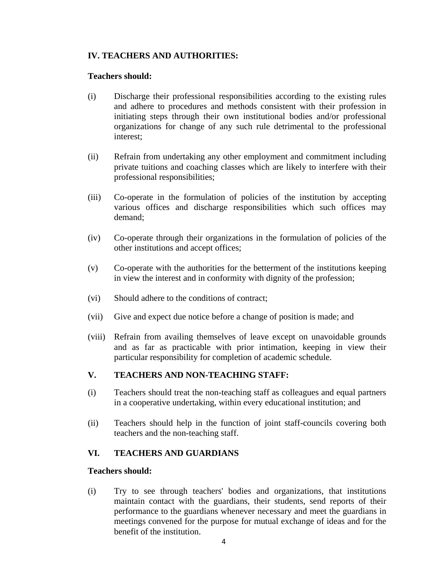### **IV. TEACHERS AND AUTHORITIES:**

#### **Teachers should:**

- (i) Discharge their professional responsibilities according to the existing rules and adhere to procedures and methods consistent with their profession in initiating steps through their own institutional bodies and/or professional organizations for change of any such rule detrimental to the professional interest;
- (ii) Refrain from undertaking any other employment and commitment including private tuitions and coaching classes which are likely to interfere with their professional responsibilities;
- (iii) Co-operate in the formulation of policies of the institution by accepting various offices and discharge responsibilities which such offices may demand;
- (iv) Co-operate through their organizations in the formulation of policies of the other institutions and accept offices;
- (v) Co-operate with the authorities for the betterment of the institutions keeping in view the interest and in conformity with dignity of the profession;
- (vi) Should adhere to the conditions of contract;
- (vii) Give and expect due notice before a change of position is made; and
- (viii) Refrain from availing themselves of leave except on unavoidable grounds and as far as practicable with prior intimation, keeping in view their particular responsibility for completion of academic schedule.

## **V. TEACHERS AND NON-TEACHING STAFF:**

- (i) Teachers should treat the non-teaching staff as colleagues and equal partners in a cooperative undertaking, within every educational institution; and
- (ii) Teachers should help in the function of joint staff-councils covering both teachers and the non-teaching staff.

### **VI. TEACHERS AND GUARDIANS**

#### **Teachers should:**

(i) Try to see through teachers' bodies and organizations, that institutions maintain contact with the guardians, their students, send reports of their performance to the guardians whenever necessary and meet the guardians in meetings convened for the purpose for mutual exchange of ideas and for the benefit of the institution.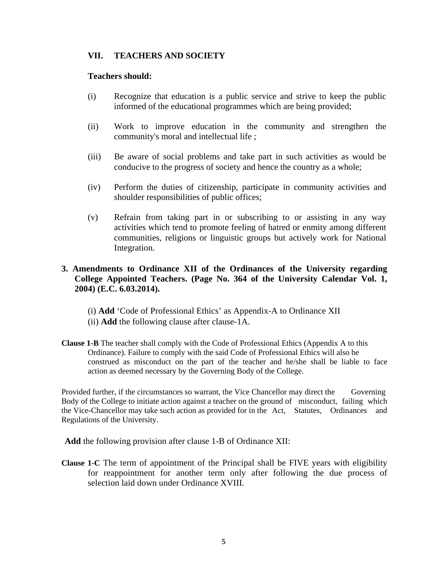#### **VII. TEACHERS AND SOCIETY**

#### **Teachers should:**

- (i) Recognize that education is a public service and strive to keep the public informed of the educational programmes which are being provided;
- (ii) Work to improve education in the community and strengthen the community's moral and intellectual life ;
- (iii) Be aware of social problems and take part in such activities as would be conducive to the progress of society and hence the country as a whole;
- (iv) Perform the duties of citizenship, participate in community activities and shoulder responsibilities of public offices;
- (v) Refrain from taking part in or subscribing to or assisting in any way activities which tend to promote feeling of hatred or enmity among different communities, religions or linguistic groups but actively work for National Integration.

### **3. Amendments to Ordinance XII of the Ordinances of the University regarding College Appointed Teachers. (Page No. 364 of the University Calendar Vol. 1, 2004) (E.C. 6.03.2014).**

- (i) **Add** 'Code of Professional Ethics' as Appendix-A to Ordinance XII
- (ii) **Add** the following clause after clause-1A.
- **Clause 1-B** The teacher shall comply with the Code of Professional Ethics (Appendix A to this Ordinance). Failure to comply with the said Code of Professional Ethics will also be construed as misconduct on the part of the teacher and he/she shall be liable to face action as deemed necessary by the Governing Body of the College.

Provided further, if the circumstances so warrant, the Vice Chancellor may direct the Governing Body of the College to initiate action against a teacher on the ground of misconduct, failing which the Vice-Chancellor may take such action as provided for in the Act, Statutes, Ordinances and Regulations of the University.

 **Add** the following provision after clause 1-B of Ordinance XII:

**Clause 1-C** The term of appointment of the Principal shall be FIVE years with eligibility for reappointment for another term only after following the due process of selection laid down under Ordinance XVIII.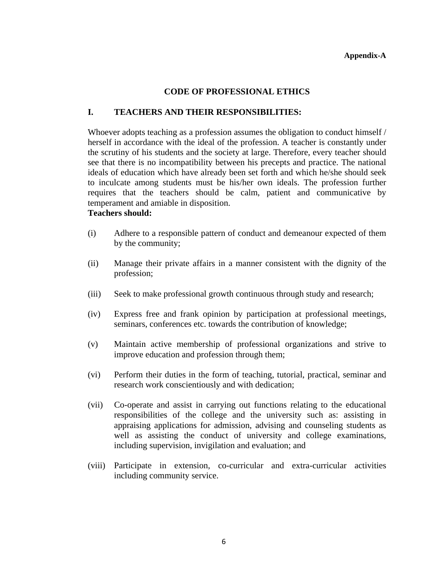#### **CODE OF PROFESSIONAL ETHICS**

#### **I. TEACHERS AND THEIR RESPONSIBILITIES:**

Whoever adopts teaching as a profession assumes the obligation to conduct himself / herself in accordance with the ideal of the profession. A teacher is constantly under the scrutiny of his students and the society at large. Therefore, every teacher should see that there is no incompatibility between his precepts and practice. The national ideals of education which have already been set forth and which he/she should seek to inculcate among students must be his/her own ideals. The profession further requires that the teachers should be calm, patient and communicative by temperament and amiable in disposition.

### **Teachers should:**

- (i) Adhere to a responsible pattern of conduct and demeanour expected of them by the community;
- (ii) Manage their private affairs in a manner consistent with the dignity of the profession;
- (iii) Seek to make professional growth continuous through study and research;
- (iv) Express free and frank opinion by participation at professional meetings, seminars, conferences etc. towards the contribution of knowledge;
- (v) Maintain active membership of professional organizations and strive to improve education and profession through them;
- (vi) Perform their duties in the form of teaching, tutorial, practical, seminar and research work conscientiously and with dedication;
- (vii) Co-operate and assist in carrying out functions relating to the educational responsibilities of the college and the university such as: assisting in appraising applications for admission, advising and counseling students as well as assisting the conduct of university and college examinations, including supervision, invigilation and evaluation; and
- (viii) Participate in extension, co-curricular and extra-curricular activities including community service.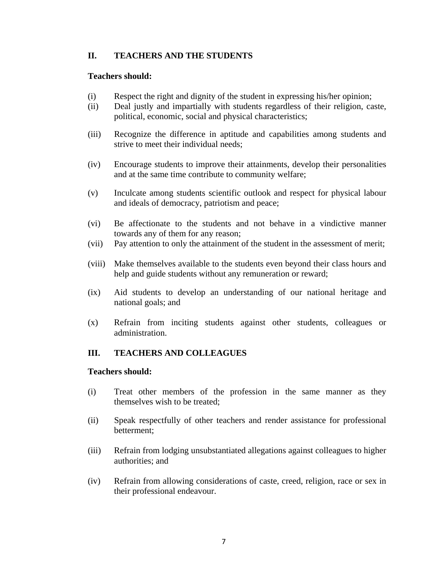### **II. TEACHERS AND THE STUDENTS**

### **Teachers should:**

- (i) Respect the right and dignity of the student in expressing his/her opinion;
- (ii) Deal justly and impartially with students regardless of their religion, caste, political, economic, social and physical characteristics;
- (iii) Recognize the difference in aptitude and capabilities among students and strive to meet their individual needs;
- (iv) Encourage students to improve their attainments, develop their personalities and at the same time contribute to community welfare;
- (v) Inculcate among students scientific outlook and respect for physical labour and ideals of democracy, patriotism and peace;
- (vi) Be affectionate to the students and not behave in a vindictive manner towards any of them for any reason;
- (vii) Pay attention to only the attainment of the student in the assessment of merit;
- (viii) Make themselves available to the students even beyond their class hours and help and guide students without any remuneration or reward;
- (ix) Aid students to develop an understanding of our national heritage and national goals; and
- (x) Refrain from inciting students against other students, colleagues or administration.

### **III. TEACHERS AND COLLEAGUES**

#### **Teachers should:**

- (i) Treat other members of the profession in the same manner as they themselves wish to be treated;
- (ii) Speak respectfully of other teachers and render assistance for professional betterment;
- (iii) Refrain from lodging unsubstantiated allegations against colleagues to higher authorities; and
- (iv) Refrain from allowing considerations of caste, creed, religion, race or sex in their professional endeavour.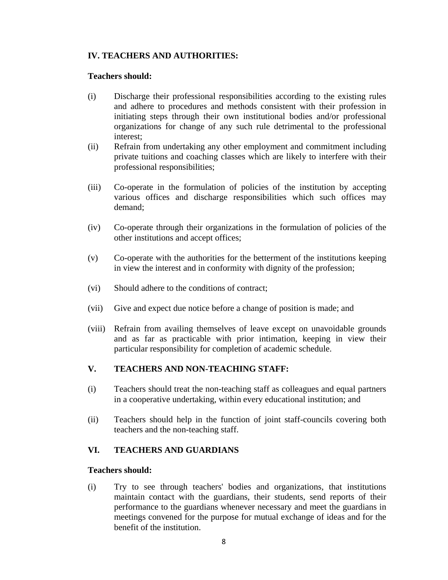### **IV. TEACHERS AND AUTHORITIES:**

#### **Teachers should:**

- (i) Discharge their professional responsibilities according to the existing rules and adhere to procedures and methods consistent with their profession in initiating steps through their own institutional bodies and/or professional organizations for change of any such rule detrimental to the professional interest;
- (ii) Refrain from undertaking any other employment and commitment including private tuitions and coaching classes which are likely to interfere with their professional responsibilities;
- (iii) Co-operate in the formulation of policies of the institution by accepting various offices and discharge responsibilities which such offices may demand;
- (iv) Co-operate through their organizations in the formulation of policies of the other institutions and accept offices;
- (v) Co-operate with the authorities for the betterment of the institutions keeping in view the interest and in conformity with dignity of the profession;
- (vi) Should adhere to the conditions of contract;
- (vii) Give and expect due notice before a change of position is made; and
- (viii) Refrain from availing themselves of leave except on unavoidable grounds and as far as practicable with prior intimation, keeping in view their particular responsibility for completion of academic schedule.

### **V. TEACHERS AND NON-TEACHING STAFF:**

- (i) Teachers should treat the non-teaching staff as colleagues and equal partners in a cooperative undertaking, within every educational institution; and
- (ii) Teachers should help in the function of joint staff-councils covering both teachers and the non-teaching staff.

### **VI. TEACHERS AND GUARDIANS**

#### **Teachers should:**

(i) Try to see through teachers' bodies and organizations, that institutions maintain contact with the guardians, their students, send reports of their performance to the guardians whenever necessary and meet the guardians in meetings convened for the purpose for mutual exchange of ideas and for the benefit of the institution.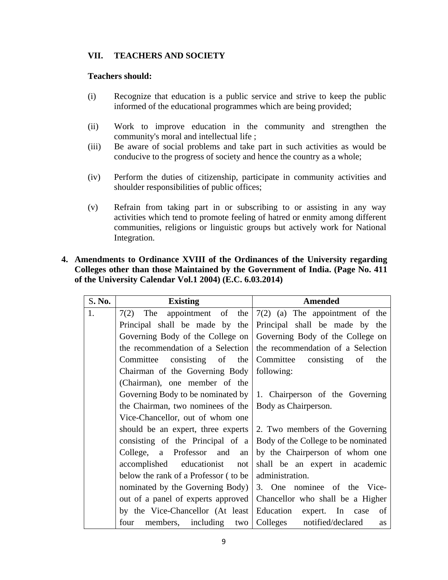### **VII. TEACHERS AND SOCIETY**

#### **Teachers should:**

- (i) Recognize that education is a public service and strive to keep the public informed of the educational programmes which are being provided;
- (ii) Work to improve education in the community and strengthen the community's moral and intellectual life ;
- (iii) Be aware of social problems and take part in such activities as would be conducive to the progress of society and hence the country as a whole;
- (iv) Perform the duties of citizenship, participate in community activities and shoulder responsibilities of public offices;
- (v) Refrain from taking part in or subscribing to or assisting in any way activities which tend to promote feeling of hatred or enmity among different communities, religions or linguistic groups but actively work for National Integration.

### **4. Amendments to Ordinance XVIII of the Ordinances of the University regarding Colleges other than those Maintained by the Government of India. (Page No. 411 of the University Calendar Vol.1 2004) (E.C. 6.03.2014)**

| S. No. | <b>Existing</b>                      | <b>Amended</b>                          |
|--------|--------------------------------------|-----------------------------------------|
| 1.     | 7(2)<br>The appointment of the       | $7(2)$ (a) The appointment of the       |
|        | Principal shall be made by the       | Principal shall be made by the          |
|        | Governing Body of the College on     | Governing Body of the College on        |
|        | the recommendation of a Selection    | the recommendation of a Selection       |
|        | Committee consisting of the          | Committee consisting of<br>the          |
|        | Chairman of the Governing Body       | following:                              |
|        | (Chairman), one member of the        |                                         |
|        | Governing Body to be nominated by    | 1. Chairperson of the Governing         |
|        | the Chairman, two nominees of the    | Body as Chairperson.                    |
|        | Vice-Chancellor, out of whom one     |                                         |
|        | should be an expert, three experts   | 2. Two members of the Governing         |
|        | consisting of the Principal of a     | Body of the College to be nominated     |
|        | College, a Professor and<br>an       | by the Chairperson of whom one          |
|        | accomplished educationist<br>not     | shall be an expert in academic          |
|        | below the rank of a Professor (to be | administration.                         |
|        | nominated by the Governing Body)     | 3. One nominee of the Vice-             |
|        | out of a panel of experts approved   | Chancellor who shall be a Higher        |
|        | by the Vice-Chancellor (At least     | Education expert. In case<br>of         |
|        | four<br>members, including<br>two    | Colleges notified/declared<br><b>as</b> |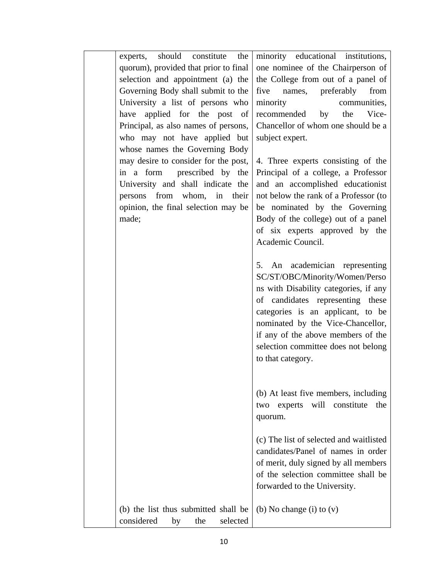| should constitute<br>the<br>experts,  | minority educational institutions,                                            |
|---------------------------------------|-------------------------------------------------------------------------------|
| quorum), provided that prior to final | one nominee of the Chairperson of                                             |
| selection and appointment (a) the     | the College from out of a panel of                                            |
| Governing Body shall submit to the    | five names, preferably<br>from                                                |
| University a list of persons who      | minority<br>communities,                                                      |
| have applied for the post of          | recommended<br>by<br>the<br>Vice-                                             |
| Principal, as also names of persons,  | Chancellor of whom one should be a                                            |
| who may not have applied but          | subject expert.                                                               |
| whose names the Governing Body        |                                                                               |
| may desire to consider for the post,  | 4. Three experts consisting of the                                            |
| in a form prescribed by the           | Principal of a college, a Professor                                           |
| University and shall indicate the     | and an accomplished educationist                                              |
| persons from whom, in their           | not below the rank of a Professor (to                                         |
| opinion, the final selection may be   | be nominated by the Governing                                                 |
| made;                                 | Body of the college) out of a panel                                           |
|                                       | of six experts approved by the                                                |
|                                       | Academic Council.                                                             |
|                                       |                                                                               |
|                                       | An academician representing<br>5.                                             |
|                                       | SC/ST/OBC/Minority/Women/Perso                                                |
|                                       | ns with Disability categories, if any                                         |
|                                       | of candidates representing these                                              |
|                                       | categories is an applicant, to be                                             |
|                                       | nominated by the Vice-Chancellor,                                             |
|                                       | if any of the above members of the                                            |
|                                       | selection committee does not belong                                           |
|                                       | to that category.                                                             |
|                                       |                                                                               |
|                                       |                                                                               |
|                                       | (b) At least five members, including                                          |
|                                       | will<br>two experts<br>constitute<br>the                                      |
|                                       | quorum.                                                                       |
|                                       |                                                                               |
|                                       | (c) The list of selected and waitlisted<br>candidates/Panel of names in order |
|                                       |                                                                               |
|                                       | of merit, duly signed by all members<br>of the selection committee shall be   |
|                                       |                                                                               |
|                                       | forwarded to the University.                                                  |
| (b) the list thus submitted shall be  | (b) No change (i) to $(v)$                                                    |
| considered<br>by<br>the<br>selected   |                                                                               |
|                                       |                                                                               |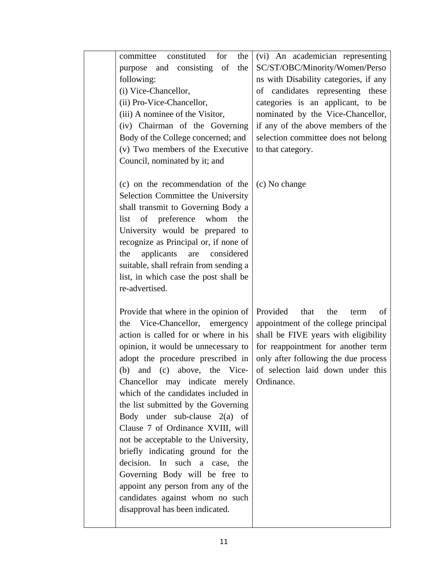| committee<br>constituted<br>for<br>the                               | (vi) An academician representing      |
|----------------------------------------------------------------------|---------------------------------------|
| the<br>purpose and consisting of                                     | SC/ST/OBC/Minority/Women/Perso        |
| following:                                                           | ns with Disability categories, if any |
| (i) Vice-Chancellor,                                                 | of candidates representing these      |
| (ii) Pro-Vice-Chancellor,                                            | categories is an applicant, to be     |
| (iii) A nominee of the Visitor,                                      | nominated by the Vice-Chancellor,     |
| (iv) Chairman of the Governing                                       | if any of the above members of the    |
| Body of the College concerned; and                                   | selection committee does not belong   |
| (v) Two members of the Executive                                     | to that category.                     |
| Council, nominated by it; and                                        |                                       |
|                                                                      |                                       |
| (c) on the recommendation of the                                     | (c) No change                         |
| Selection Committee the University                                   |                                       |
| shall transmit to Governing Body a                                   |                                       |
| of preference<br>whom<br>list<br>the                                 |                                       |
| University would be prepared to                                      |                                       |
| recognize as Principal or, if none of                                |                                       |
| applicants<br>considered<br>the<br>are                               |                                       |
| suitable, shall refrain from sending a                               |                                       |
| list, in which case the post shall be                                |                                       |
| re-advertised.                                                       |                                       |
|                                                                      |                                       |
| Provide that where in the opinion of                                 | Provided<br>that<br>the<br>of<br>term |
| the Vice-Chancellor, emergency                                       | appointment of the college principal  |
| action is called for or where in his                                 | shall be FIVE years with eligibility  |
| opinion, it would be unnecessary to                                  | for reappointment for another term    |
| adopt the procedure prescribed in                                    | only after following the due process  |
| (b)<br>and (c) above, the Vice-                                      | of selection laid down under this     |
| Chancellor may indicate merely                                       | Ordinance.                            |
| which of the candidates included in                                  |                                       |
| the list submitted by the Governing                                  |                                       |
| Body under sub-clause $2(a)$ of<br>Clause 7 of Ordinance XVIII, will |                                       |
| not be acceptable to the University,                                 |                                       |
| briefly indicating ground for the                                    |                                       |
| decision. In such a case, the                                        |                                       |
| Governing Body will be free to                                       |                                       |
| appoint any person from any of the                                   |                                       |
| candidates against whom no such                                      |                                       |
| disapproval has been indicated.                                      |                                       |
|                                                                      |                                       |
|                                                                      |                                       |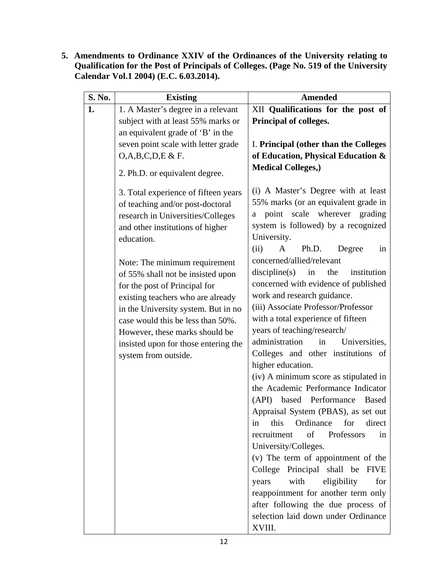**5. Amendments to Ordinance XXIV of the Ordinances of the University relating to Qualification for the Post of Principals of Colleges. (Page No. 519 of the University Calendar Vol.1 2004) (E.C. 6.03.2014).** 

| S. No. | <b>Existing</b>                                                                                                                                                                                                                                                                                                                                                                                                                                                                           | <b>Amended</b>                                                                                                                                                                                                                                                                                                                                                                                                                                                                                                                                                                                                                                                                                                                                                                                                                                                                                                                                                                                                                                                                                               |
|--------|-------------------------------------------------------------------------------------------------------------------------------------------------------------------------------------------------------------------------------------------------------------------------------------------------------------------------------------------------------------------------------------------------------------------------------------------------------------------------------------------|--------------------------------------------------------------------------------------------------------------------------------------------------------------------------------------------------------------------------------------------------------------------------------------------------------------------------------------------------------------------------------------------------------------------------------------------------------------------------------------------------------------------------------------------------------------------------------------------------------------------------------------------------------------------------------------------------------------------------------------------------------------------------------------------------------------------------------------------------------------------------------------------------------------------------------------------------------------------------------------------------------------------------------------------------------------------------------------------------------------|
| 1.     | 1. A Master's degree in a relevant                                                                                                                                                                                                                                                                                                                                                                                                                                                        | XII Qualifications for the post of                                                                                                                                                                                                                                                                                                                                                                                                                                                                                                                                                                                                                                                                                                                                                                                                                                                                                                                                                                                                                                                                           |
|        | subject with at least 55% marks or                                                                                                                                                                                                                                                                                                                                                                                                                                                        | Principal of colleges.                                                                                                                                                                                                                                                                                                                                                                                                                                                                                                                                                                                                                                                                                                                                                                                                                                                                                                                                                                                                                                                                                       |
|        | an equivalent grade of 'B' in the                                                                                                                                                                                                                                                                                                                                                                                                                                                         |                                                                                                                                                                                                                                                                                                                                                                                                                                                                                                                                                                                                                                                                                                                                                                                                                                                                                                                                                                                                                                                                                                              |
|        | seven point scale with letter grade                                                                                                                                                                                                                                                                                                                                                                                                                                                       | I. Principal (other than the Colleges                                                                                                                                                                                                                                                                                                                                                                                                                                                                                                                                                                                                                                                                                                                                                                                                                                                                                                                                                                                                                                                                        |
|        | O, A, B, C, D, E & F.                                                                                                                                                                                                                                                                                                                                                                                                                                                                     | of Education, Physical Education &                                                                                                                                                                                                                                                                                                                                                                                                                                                                                                                                                                                                                                                                                                                                                                                                                                                                                                                                                                                                                                                                           |
|        | 2. Ph.D. or equivalent degree.                                                                                                                                                                                                                                                                                                                                                                                                                                                            | <b>Medical Colleges,)</b>                                                                                                                                                                                                                                                                                                                                                                                                                                                                                                                                                                                                                                                                                                                                                                                                                                                                                                                                                                                                                                                                                    |
|        | 3. Total experience of fifteen years<br>of teaching and/or post-doctoral<br>research in Universities/Colleges<br>and other institutions of higher<br>education.<br>Note: The minimum requirement<br>of 55% shall not be insisted upon<br>for the post of Principal for<br>existing teachers who are already<br>in the University system. But in no<br>case would this be less than 50%.<br>However, these marks should be<br>insisted upon for those entering the<br>system from outside. | (i) A Master's Degree with at least<br>55% marks (or an equivalent grade in<br>scale wherever grading<br>point<br>a<br>system is followed) by a recognized<br>University.<br>(ii)<br>$\mathbf{A}$<br>Ph.D.<br>in<br>Degree<br>concerned/allied/relevant<br>discipher(s)<br>institution<br>in<br>the<br>concerned with evidence of published<br>work and research guidance.<br>(iii) Associate Professor/Professor<br>with a total experience of fifteen<br>years of teaching/research/<br>administration<br>Universities,<br>in<br>Colleges and other institutions of<br>higher education.<br>(iv) A minimum score as stipulated in<br>the Academic Performance Indicator<br>(API) based Performance<br><b>Based</b><br>Appraisal System (PBAS), as set out<br>Ordinance<br>this<br>for<br>direct<br>in<br>of<br>recruitment<br>Professors<br>in<br>University/Colleges.<br>(v) The term of appointment of the<br>College Principal shall be FIVE<br>with<br>eligibility<br>years<br>for<br>reappointment for another term only<br>after following the due process of<br>selection laid down under Ordinance |
|        |                                                                                                                                                                                                                                                                                                                                                                                                                                                                                           | XVIII.                                                                                                                                                                                                                                                                                                                                                                                                                                                                                                                                                                                                                                                                                                                                                                                                                                                                                                                                                                                                                                                                                                       |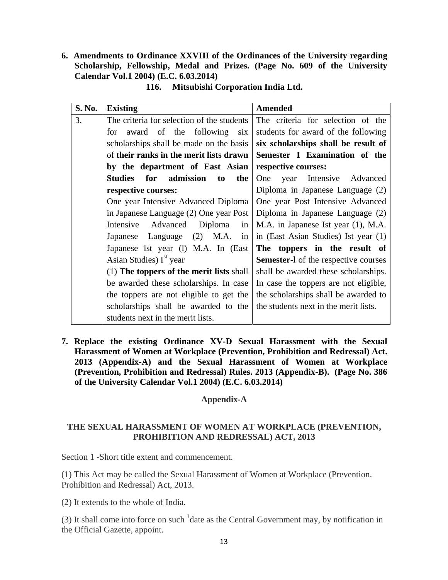**6. Amendments to Ordinance XXVIII of the Ordinances of the University regarding Scholarship, Fellowship, Medal and Prizes. (Page No. 609 of the University Calendar Vol.1 2004) (E.C. 6.03.2014)** 

| S. No. | <b>Existing</b>                              | <b>Amended</b>                              |
|--------|----------------------------------------------|---------------------------------------------|
| 3.     | The criteria for selection of the students   | The criteria for selection of the           |
|        | award of the following<br>for<br>six         | students for award of the following         |
|        | scholarships shall be made on the basis      | six scholarships shall be result of         |
|        | of their ranks in the merit lists drawn      | Semester I Examination of the               |
|        | by the department of East Asian              | respective courses:                         |
|        | <b>Studies</b><br>for admission<br>to<br>the | year Intensive Advanced<br>One              |
|        | respective courses:                          | Diploma in Japanese Language (2)            |
|        | One year Intensive Advanced Diploma          | One year Post Intensive Advanced            |
|        | in Japanese Language (2) One year Post       | Diploma in Japanese Language (2)            |
|        | Intensive Advanced Diploma<br>in             | M.A. in Japanese Ist year (1), M.A.         |
|        | Japanese Language (2) M.A. in                | in (East Asian Studies) Ist year (1)        |
|        | Japanese lst year (1) M.A. In (East          | The toppers in the result of                |
|        | Asian Studies) $Ist$ year                    | <b>Semester-I</b> of the respective courses |
|        | (1) The toppers of the merit lists shall     | shall be awarded these scholarships.        |
|        | be awarded these scholarships. In case       | In case the toppers are not eligible,       |
|        | the toppers are not eligible to get the      | the scholarships shall be awarded to        |
|        | scholarships shall be awarded to the         | the students next in the merit lists.       |
|        | students next in the merit lists.            |                                             |

### **116. Mitsubishi Corporation India Ltd.**

**7. Replace the existing Ordinance XV-D Sexual Harassment with the Sexual Harassment of Women at Workplace (Prevention, Prohibition and Redressal) Act. 2013 (Appendix-A) and the Sexual Harassment of Women at Workplace (Prevention, Prohibition and Redressal) Rules. 2013 (Appendix-B). (Page No. 386 of the University Calendar Vol.1 2004) (E.C. 6.03.2014)** 

### **Appendix-A**

## **THE SEXUAL HARASSMENT OF WOMEN AT WORKPLACE (PREVENTION, PROHIBITION AND REDRESSAL) ACT, 2013**

Section 1 -Short title extent and commencement.

(1) This Act may be called the Sexual Harassment of Women at Workplace (Prevention. Prohibition and Redressal) Act, 2013.

(2) It extends to the whole of India.

(3) It shall come into force on such  $\frac{1}{4}$  date as the Central Government may, by notification in the Official Gazette, appoint.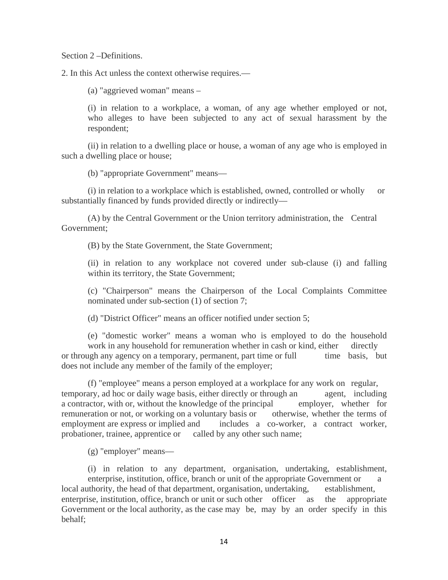Section 2 –Definitions.

2. In this Act unless the context otherwise requires.—

(a) "aggrieved woman" means –

 (i) in relation to a workplace, a woman, of any age whether employed or not, who alleges to have been subjected to any act of sexual harassment by the respondent;

 (ii) in relation to a dwelling place or house, a woman of any age who is employed in such a dwelling place or house;

(b) "appropriate Government" means—

 (i) in relation to a workplace which is established, owned, controlled or wholly or substantially financed by funds provided directly or indirectly—

 (A) by the Central Government or the Union territory administration, the Central Government;

(B) by the State Government, the State Government;

 (ii) in relation to any workplace not covered under sub-clause (i) and falling within its territory, the State Government;

 (c) "Chairperson" means the Chairperson of the Local Complaints Committee nominated under sub-section (1) of section 7;

(d) "District Officer" means an officer notified under section 5;

(e) "domestic worker" means a woman who is employed to do the household

work in any household for remuneration whether in cash or kind, either directly or through any agency on a temporary, permanent, part time or full time basis, but does not include any member of the family of the employer;

 (f) "employee" means a person employed at a workplace for any work on regular, temporary, ad hoc or daily wage basis, either directly or through an agent, including a contractor, with or, without the knowledge of the principal employer, whether for remuneration or not, or working on a voluntary basis or otherwise, whether the terms of employment are express or implied and includes a co-worker, a contract worker, probationer, trainee, apprentice or called by any other such name;

(g) "employer" means—

 (i) in relation to any department, organisation, undertaking, establishment, enterprise, institution, office, branch or unit of the appropriate Government or a local authority, the head of that department, organisation, undertaking, establishment, enterprise, institution, office, branch or unit or such other officer as the appropriate Government or the local authority, as the case may be, may by an order specify in this behalf;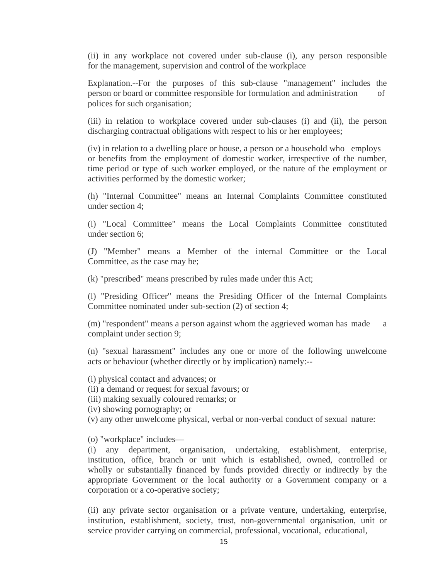(ii) in any workplace not covered under sub-clause (i), any person responsible for the management, supervision and control of the workplace

 Explanation.--For the purposes of this sub-clause "management" includes the person or board or committee responsible for formulation and administration of polices for such organisation;

 (iii) in relation to workplace covered under sub-clauses (i) and (ii), the person discharging contractual obligations with respect to his or her employees;

 (iv) in relation to a dwelling place or house, a person or a household who employs or benefits from the employment of domestic worker, irrespective of the number, time period or type of such worker employed, or the nature of the employment or activities performed by the domestic worker;

 (h) "Internal Committee" means an Internal Complaints Committee constituted under section 4;

 (i) "Local Committee" means the Local Complaints Committee constituted under section 6;

 (J) "Member" means a Member of the internal Committee or the Local Committee, as the case may be;

(k) "prescribed" means prescribed by rules made under this Act;

 (l) "Presiding Officer" means the Presiding Officer of the Internal Complaints Committee nominated under sub-section (2) of section 4;

 (m) "respondent" means a person against whom the aggrieved woman has made a complaint under section 9;

 (n) "sexual harassment" includes any one or more of the following unwelcome acts or behaviour (whether directly or by implication) namely:--

(i) physical contact and advances; or

(ii) a demand or request for sexual favours; or

(iii) making sexually coloured remarks; or

(iv) showing pornography; or

(v) any other unwelcome physical, verbal or non-verbal conduct of sexual nature:

(o) "workplace" includes—

 (i) any department, organisation, undertaking, establishment, enterprise, institution, office, branch or unit which is established, owned, controlled or wholly or substantially financed by funds provided directly or indirectly by the appropriate Government or the local authority or a Government company or a corporation or a co-operative society;

 (ii) any private sector organisation or a private venture, undertaking, enterprise, institution, establishment, society, trust, non-governmental organisation, unit or service provider carrying on commercial, professional, vocational, educational,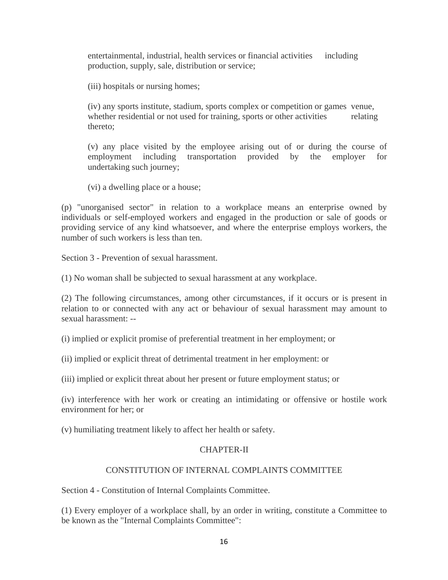entertainmental, industrial, health services or financial activities including production, supply, sale, distribution or service;

(iii) hospitals or nursing homes;

 (iv) any sports institute, stadium, sports complex or competition or games venue, whether residential or not used for training, sports or other activities relating thereto;

 (v) any place visited by the employee arising out of or during the course of employment including transportation provided by the employer for undertaking such journey;

(vi) a dwelling place or a house;

(p) "unorganised sector" in relation to a workplace means an enterprise owned by individuals or self-employed workers and engaged in the production or sale of goods or providing service of any kind whatsoever, and where the enterprise employs workers, the number of such workers is less than ten.

Section 3 - Prevention of sexual harassment.

(1) No woman shall be subjected to sexual harassment at any workplace.

(2) The following circumstances, among other circumstances, if it occurs or is present in relation to or connected with any act or behaviour of sexual harassment may amount to sexual harassment: --

(i) implied or explicit promise of preferential treatment in her employment; or

(ii) implied or explicit threat of detrimental treatment in her employment: or

(iii) implied or explicit threat about her present or future employment status; or

(iv) interference with her work or creating an intimidating or offensive or hostile work environment for her; or

(v) humiliating treatment likely to affect her health or safety.

### CHAPTER-II

### CONSTITUTION OF INTERNAL COMPLAINTS COMMITTEE

Section 4 - Constitution of Internal Complaints Committee.

(1) Every employer of a workplace shall, by an order in writing, constitute a Committee to be known as the "Internal Complaints Committee":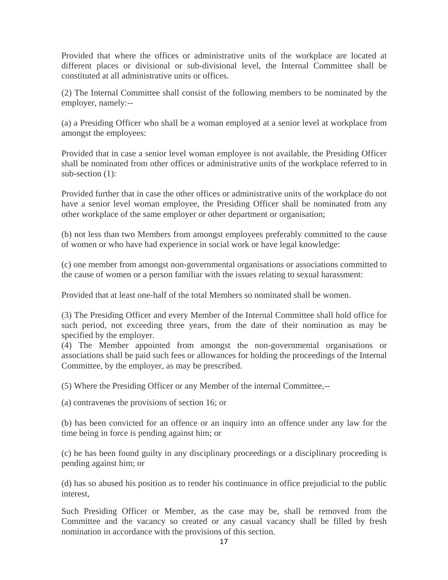Provided that where the offices or administrative units of the workplace are located at different places or divisional or sub-divisional level, the Internal Committee shall be constituted at all administrative units or offices.

(2) The Internal Committee shall consist of the following members to be nominated by the employer, namely:--

(a) a Presiding Officer who shall be a woman employed at a senior level at workplace from amongst the employees:

Provided that in case a senior level woman employee is not available, the Presiding Officer shall be nominated from other offices or administrative units of the workplace referred to in sub-section (1):

Provided further that in case the other offices or administrative units of the workplace do not have a senior level woman employee, the Presiding Officer shall be nominated from any other workplace of the same employer or other department or organisation;

(b) not less than two Members from amongst employees preferably committed to the cause of women or who have had experience in social work or have legal knowledge:

(c) one member from amongst non-governmental organisations or associations committed to the cause of women or a person familiar with the issues relating to sexual harassment:

Provided that at least one-half of the total Members so nominated shall be women.

(3) The Presiding Officer and every Member of the Internal Committee shall hold office for such period, not exceeding three years, from the date of their nomination as may be specified by the employer.

(4) The Member appointed from amongst the non-governmental organisations or associations shall be paid such fees or allowances for holding the proceedings of the Internal Committee, by the employer, as may be prescribed.

(5) Where the Presiding Officer or any Member of the internal Committee,--

(a) contravenes the provisions of section 16; or

(b) has been convicted for an offence or an inquiry into an offence under any law for the time being in force is pending against him; or

(c) he has been found guilty in any disciplinary proceedings or a disciplinary proceeding is pending against him; or

(d) has so abused his position as to render his continuance in office prejudicial to the public interest,

Such Presiding Officer or Member, as the case may be, shall be removed from the Committee and the vacancy so created or any casual vacancy shall be filled by fresh nomination in accordance with the provisions of this section.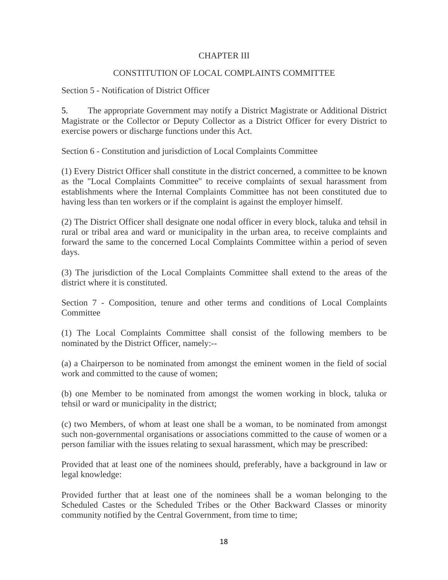## CHAPTER III

### CONSTITUTION OF LOCAL COMPLAINTS COMMITTEE

Section 5 - Notification of District Officer

5. The appropriate Government may notify a District Magistrate or Additional District Magistrate or the Collector or Deputy Collector as a District Officer for every District to exercise powers or discharge functions under this Act.

Section 6 - Constitution and jurisdiction of Local Complaints Committee

(1) Every District Officer shall constitute in the district concerned, a committee to be known as the "Local Complaints Committee" to receive complaints of sexual harassment from establishments where the Internal Complaints Committee has not been constituted due to having less than ten workers or if the complaint is against the employer himself.

(2) The District Officer shall designate one nodal officer in every block, taluka and tehsil in rural or tribal area and ward or municipality in the urban area, to receive complaints and forward the same to the concerned Local Complaints Committee within a period of seven days.

(3) The jurisdiction of the Local Complaints Committee shall extend to the areas of the district where it is constituted.

Section 7 - Composition, tenure and other terms and conditions of Local Complaints **Committee** 

(1) The Local Complaints Committee shall consist of the following members to be nominated by the District Officer, namely:--

(a) a Chairperson to be nominated from amongst the eminent women in the field of social work and committed to the cause of women;

(b) one Member to be nominated from amongst the women working in block, taluka or tehsil or ward or municipality in the district;

(c) two Members, of whom at least one shall be a woman, to be nominated from amongst such non-governmental organisations or associations committed to the cause of women or a person familiar with the issues relating to sexual harassment, which may be prescribed:

Provided that at least one of the nominees should, preferably, have a background in law or legal knowledge:

Provided further that at least one of the nominees shall be a woman belonging to the Scheduled Castes or the Scheduled Tribes or the Other Backward Classes or minority community notified by the Central Government, from time to time;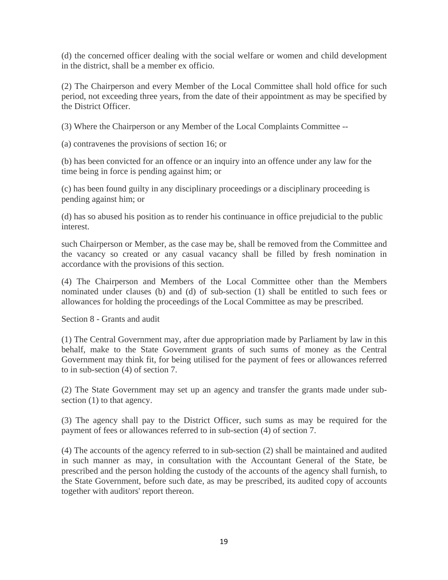(d) the concerned officer dealing with the social welfare or women and child development in the district, shall be a member ex officio.

(2) The Chairperson and every Member of the Local Committee shall hold office for such period, not exceeding three years, from the date of their appointment as may be specified by the District Officer.

(3) Where the Chairperson or any Member of the Local Complaints Committee --

(a) contravenes the provisions of section 16; or

(b) has been convicted for an offence or an inquiry into an offence under any law for the time being in force is pending against him; or

(c) has been found guilty in any disciplinary proceedings or a disciplinary proceeding is pending against him; or

(d) has so abused his position as to render his continuance in office prejudicial to the public interest.

such Chairperson or Member, as the case may be, shall be removed from the Committee and the vacancy so created or any casual vacancy shall be filled by fresh nomination in accordance with the provisions of this section.

(4) The Chairperson and Members of the Local Committee other than the Members nominated under clauses (b) and (d) of sub-section (1) shall be entitled to such fees or allowances for holding the proceedings of the Local Committee as may be prescribed.

Section 8 - Grants and audit

(1) The Central Government may, after due appropriation made by Parliament by law in this behalf, make to the State Government grants of such sums of money as the Central Government may think fit, for being utilised for the payment of fees or allowances referred to in sub-section (4) of section 7.

(2) The State Government may set up an agency and transfer the grants made under subsection  $(1)$  to that agency.

(3) The agency shall pay to the District Officer, such sums as may be required for the payment of fees or allowances referred to in sub-section (4) of section 7.

(4) The accounts of the agency referred to in sub-section (2) shall be maintained and audited in such manner as may, in consultation with the Accountant General of the State, be prescribed and the person holding the custody of the accounts of the agency shall furnish, to the State Government, before such date, as may be prescribed, its audited copy of accounts together with auditors' report thereon.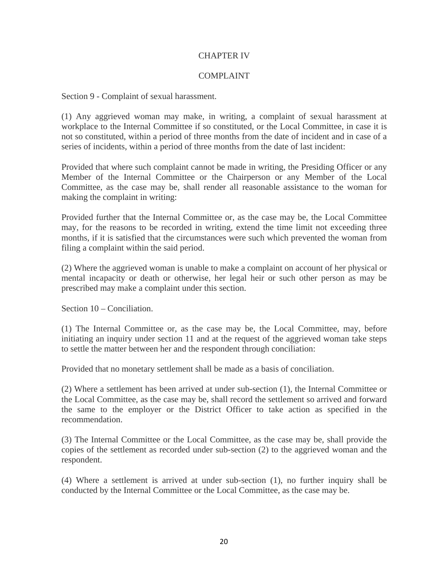### CHAPTER IV

### COMPLAINT

Section 9 - Complaint of sexual harassment.

(1) Any aggrieved woman may make, in writing, a complaint of sexual harassment at workplace to the Internal Committee if so constituted, or the Local Committee, in case it is not so constituted, within a period of three months from the date of incident and in case of a series of incidents, within a period of three months from the date of last incident:

Provided that where such complaint cannot be made in writing, the Presiding Officer or any Member of the Internal Committee or the Chairperson or any Member of the Local Committee, as the case may be, shall render all reasonable assistance to the woman for making the complaint in writing:

Provided further that the Internal Committee or, as the case may be, the Local Committee may, for the reasons to be recorded in writing, extend the time limit not exceeding three months, if it is satisfied that the circumstances were such which prevented the woman from filing a complaint within the said period.

(2) Where the aggrieved woman is unable to make a complaint on account of her physical or mental incapacity or death or otherwise, her legal heir or such other person as may be prescribed may make a complaint under this section.

Section 10 – Conciliation.

(1) The Internal Committee or, as the case may be, the Local Committee, may, before initiating an inquiry under section 11 and at the request of the aggrieved woman take steps to settle the matter between her and the respondent through conciliation:

Provided that no monetary settlement shall be made as a basis of conciliation.

(2) Where a settlement has been arrived at under sub-section (1), the Internal Committee or the Local Committee, as the case may be, shall record the settlement so arrived and forward the same to the employer or the District Officer to take action as specified in the recommendation.

(3) The Internal Committee or the Local Committee, as the case may be, shall provide the copies of the settlement as recorded under sub-section (2) to the aggrieved woman and the respondent.

(4) Where a settlement is arrived at under sub-section (1), no further inquiry shall be conducted by the Internal Committee or the Local Committee, as the case may be.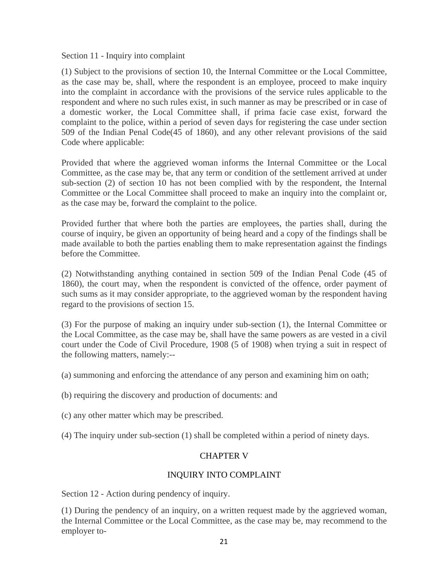#### Section 11 - Inquiry into complaint

(1) Subject to the provisions of section 10, the Internal Committee or the Local Committee, as the case may be, shall, where the respondent is an employee, proceed to make inquiry into the complaint in accordance with the provisions of the service rules applicable to the respondent and where no such rules exist, in such manner as may be prescribed or in case of a domestic worker, the Local Committee shall, if prima facie case exist, forward the complaint to the police, within a period of seven days for registering the case under section 509 of the Indian Penal Code(45 of 1860), and any other relevant provisions of the said Code where applicable:

Provided that where the aggrieved woman informs the Internal Committee or the Local Committee, as the case may be, that any term or condition of the settlement arrived at under sub-section (2) of section 10 has not been complied with by the respondent, the Internal Committee or the Local Committee shall proceed to make an inquiry into the complaint or, as the case may be, forward the complaint to the police.

Provided further that where both the parties are employees, the parties shall, during the course of inquiry, be given an opportunity of being heard and a copy of the findings shall be made available to both the parties enabling them to make representation against the findings before the Committee.

(2) Notwithstanding anything contained in section 509 of the Indian Penal Code (45 of 1860), the court may, when the respondent is convicted of the offence, order payment of such sums as it may consider appropriate, to the aggrieved woman by the respondent having regard to the provisions of section 15.

(3) For the purpose of making an inquiry under sub-section (1), the Internal Committee or the Local Committee, as the case may be, shall have the same powers as are vested in a civil court under the Code of Civil Procedure, 1908 (5 of 1908) when trying a suit in respect of the following matters, namely:--

(a) summoning and enforcing the attendance of any person and examining him on oath;

- (b) requiring the discovery and production of documents: and
- (c) any other matter which may be prescribed.

(4) The inquiry under sub-section (1) shall be completed within a period of ninety days.

## CHAPTER V

## INQUIRY INTO COMPLAINT

Section 12 - Action during pendency of inquiry.

(1) During the pendency of an inquiry, on a written request made by the aggrieved woman, the Internal Committee or the Local Committee, as the case may be, may recommend to the employer to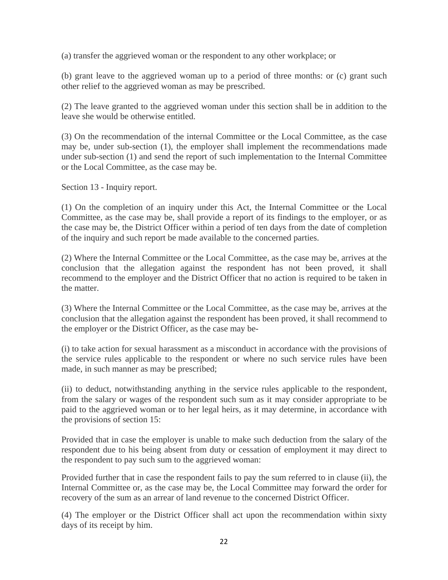(a) transfer the aggrieved woman or the respondent to any other workplace; or

(b) grant leave to the aggrieved woman up to a period of three months: or (c) grant such other relief to the aggrieved woman as may be prescribed.

(2) The leave granted to the aggrieved woman under this section shall be in addition to the leave she would be otherwise entitled.

(3) On the recommendation of the internal Committee or the Local Committee, as the case may be, under sub-section (1), the employer shall implement the recommendations made under sub-section (1) and send the report of such implementation to the Internal Committee or the Local Committee, as the case may be.

Section 13 - Inquiry report.

(1) On the completion of an inquiry under this Act, the Internal Committee or the Local Committee, as the case may be, shall provide a report of its findings to the employer, or as the case may be, the District Officer within a period of ten days from the date of completion of the inquiry and such report be made available to the concerned parties.

(2) Where the Internal Committee or the Local Committee, as the case may be, arrives at the conclusion that the allegation against the respondent has not been proved, it shall recommend to the employer and the District Officer that no action is required to be taken in the matter.

(3) Where the Internal Committee or the Local Committee, as the case may be, arrives at the conclusion that the allegation against the respondent has been proved, it shall recommend to the employer or the District Officer, as the case may be-

(i) to take action for sexual harassment as a misconduct in accordance with the provisions of the service rules applicable to the respondent or where no such service rules have been made, in such manner as may be prescribed;

(ii) to deduct, notwithstanding anything in the service rules applicable to the respondent, from the salary or wages of the respondent such sum as it may consider appropriate to be paid to the aggrieved woman or to her legal heirs, as it may determine, in accordance with the provisions of section 15:

Provided that in case the employer is unable to make such deduction from the salary of the respondent due to his being absent from duty or cessation of employment it may direct to the respondent to pay such sum to the aggrieved woman:

Provided further that in case the respondent fails to pay the sum referred to in clause (ii), the Internal Committee or, as the case may be, the Local Committee may forward the order for recovery of the sum as an arrear of land revenue to the concerned District Officer.

(4) The employer or the District Officer shall act upon the recommendation within sixty days of its receipt by him.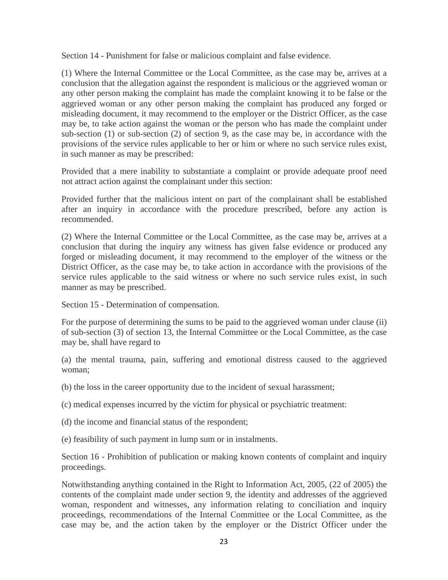Section 14 - Punishment for false or malicious complaint and false evidence.

(1) Where the Internal Committee or the Local Committee, as the case may be, arrives at a conclusion that the allegation against the respondent is malicious or the aggrieved woman or any other person making the complaint has made the complaint knowing it to be false or the aggrieved woman or any other person making the complaint has produced any forged or misleading document, it may recommend to the employer or the District Officer, as the case may be, to take action against the woman or the person who has made the complaint under sub-section (1) or sub-section (2) of section 9, as the case may be, in accordance with the provisions of the service rules applicable to her or him or where no such service rules exist, in such manner as may be prescribed:

Provided that a mere inability to substantiate a complaint or provide adequate proof need not attract action against the complainant under this section:

Provided further that the malicious intent on part of the complainant shall be established after an inquiry in accordance with the procedure prescribed, before any action is recommended.

(2) Where the Internal Committee or the Local Committee, as the case may be, arrives at a conclusion that during the inquiry any witness has given false evidence or produced any forged or misleading document, it may recommend to the employer of the witness or the District Officer, as the case may be, to take action in accordance with the provisions of the service rules applicable to the said witness or where no such service rules exist, in such manner as may be prescribed.

Section 15 - Determination of compensation.

For the purpose of determining the sums to be paid to the aggrieved woman under clause (ii) of sub-section (3) of section 13, the Internal Committee or the Local Committee, as the case may be, shall have regard to

(a) the mental trauma, pain, suffering and emotional distress caused to the aggrieved woman;

(b) the loss in the career opportunity due to the incident of sexual harassment;

(c) medical expenses incurred by the victim for physical or psychiatric treatment:

(d) the income and financial status of the respondent;

(e) feasibility of such payment in lump sum or in instalments.

Section 16 - Prohibition of publication or making known contents of complaint and inquiry proceedings.

Notwithstanding anything contained in the Right to Information Act, 2005, (22 of 2005) the contents of the complaint made under section 9, the identity and addresses of the aggrieved woman, respondent and witnesses, any information relating to conciliation and inquiry proceedings, recommendations of the Internal Committee or the Local Committee, as the case may be, and the action taken by the employer or the District Officer under the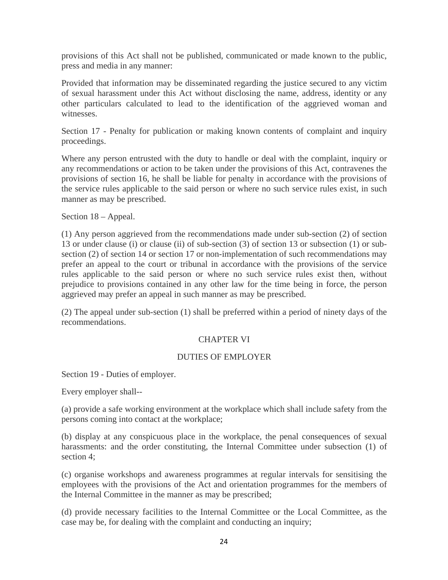provisions of this Act shall not be published, communicated or made known to the public, press and media in any manner:

Provided that information may be disseminated regarding the justice secured to any victim of sexual harassment under this Act without disclosing the name, address, identity or any other particulars calculated to lead to the identification of the aggrieved woman and witnesses.

Section 17 - Penalty for publication or making known contents of complaint and inquiry proceedings.

Where any person entrusted with the duty to handle or deal with the complaint, inquiry or any recommendations or action to be taken under the provisions of this Act, contravenes the provisions of section 16, he shall be liable for penalty in accordance with the provisions of the service rules applicable to the said person or where no such service rules exist, in such manner as may be prescribed.

Section 18 – Appeal.

(1) Any person aggrieved from the recommendations made under sub-section (2) of section 13 or under clause (i) or clause (ii) of sub-section (3) of section 13 or subsection (1) or subsection (2) of section 14 or section 17 or non-implementation of such recommendations may prefer an appeal to the court or tribunal in accordance with the provisions of the service rules applicable to the said person or where no such service rules exist then, without prejudice to provisions contained in any other law for the time being in force, the person aggrieved may prefer an appeal in such manner as may be prescribed.

(2) The appeal under sub-section (1) shall be preferred within a period of ninety days of the recommendations.

### CHAPTER VI

### DUTIES OF EMPLOYER

Section 19 - Duties of employer.

Every employer shall--

(a) provide a safe working environment at the workplace which shall include safety from the persons coming into contact at the workplace;

(b) display at any conspicuous place in the workplace, the penal consequences of sexual harassments: and the order constituting, the Internal Committee under subsection (1) of section 4;

(c) organise workshops and awareness programmes at regular intervals for sensitising the employees with the provisions of the Act and orientation programmes for the members of the Internal Committee in the manner as may be prescribed;

(d) provide necessary facilities to the Internal Committee or the Local Committee, as the case may be, for dealing with the complaint and conducting an inquiry;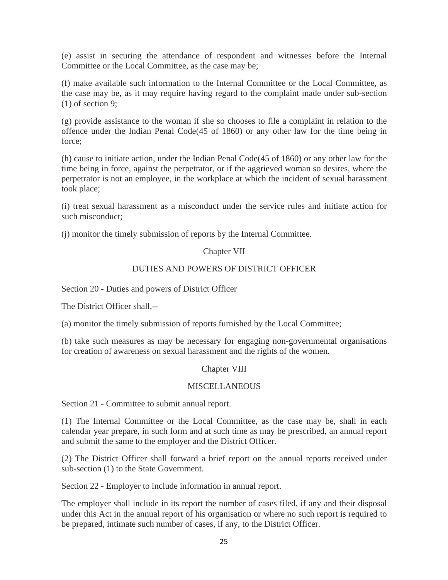(e) assist in securing the attendance of respondent and witnesses before the Internal Committee or the Local Committee, as the case may be;

(f) make available such information to the Internal Committee or the Local Committee, as the case may be, as it may require having regard to the complaint made under sub-section (1) of section 9;

(g) provide assistance to the woman if she so chooses to file a complaint in relation to the offence under the Indian Penal Code(45 of 1860) or any other law for the time being in force;

(h) cause to initiate action, under the Indian Penal Code(45 of 1860) or any other law for the time being in force, against the perpetrator, or if the aggrieved woman so desires, where the perpetrator is not an employee, in the workplace at which the incident of sexual harassment took place;

(i) treat sexual harassment as a misconduct under the service rules and initiate action for such misconduct;

(j) monitor the timely submission of reports by the Internal Committee.

### Chapter VII

### DUTIES AND POWERS OF DISTRICT OFFICER

Section 20 - Duties and powers of District Officer

The District Officer shall,--

(a) monitor the timely submission of reports furnished by the Local Committee;

(b) take such measures as may be necessary for engaging non-governmental organisations for creation of awareness on sexual harassment and the rights of the women.

### Chapter VIII

#### **MISCELLANEOUS**

Section 21 - Committee to submit annual report.

(1) The Internal Committee or the Local Committee, as the case may be, shall in each calendar year prepare, in such form and at such time as may be prescribed, an annual report and submit the same to the employer and the District Officer.

(2) The District Officer shall forward a brief report on the annual reports received under sub-section (1) to the State Government.

Section 22 - Employer to include information in annual report.

The employer shall include in its report the number of cases filed, if any and their disposal under this Act in the annual report of his organisation or where no such report is required to be prepared, intimate such number of cases, if any, to the District Officer.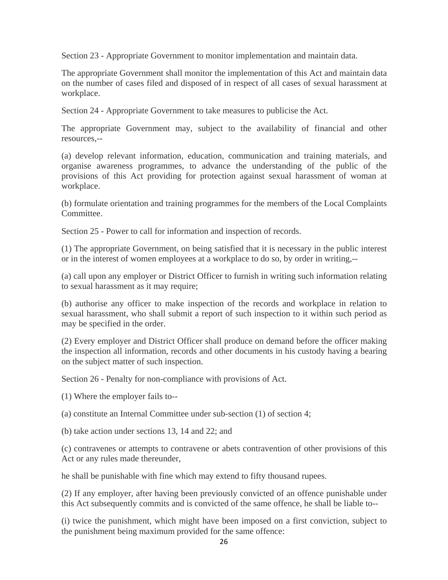Section 23 - Appropriate Government to monitor implementation and maintain data.

The appropriate Government shall monitor the implementation of this Act and maintain data on the number of cases filed and disposed of in respect of all cases of sexual harassment at workplace.

Section 24 - Appropriate Government to take measures to publicise the Act.

The appropriate Government may, subject to the availability of financial and other resources,--

(a) develop relevant information, education, communication and training materials, and organise awareness programmes, to advance the understanding of the public of the provisions of this Act providing for protection against sexual harassment of woman at workplace.

(b) formulate orientation and training programmes for the members of the Local Complaints Committee.

Section 25 - Power to call for information and inspection of records.

(1) The appropriate Government, on being satisfied that it is necessary in the public interest or in the interest of women employees at a workplace to do so, by order in writing,--

(a) call upon any employer or District Officer to furnish in writing such information relating to sexual harassment as it may require;

(b) authorise any officer to make inspection of the records and workplace in relation to sexual harassment, who shall submit a report of such inspection to it within such period as may be specified in the order.

(2) Every employer and District Officer shall produce on demand before the officer making the inspection all information, records and other documents in his custody having a bearing on the subject matter of such inspection.

Section 26 - Penalty for non-compliance with provisions of Act.

(1) Where the employer fails to--

(a) constitute an Internal Committee under sub-section (1) of section 4;

(b) take action under sections 13, 14 and 22; and

(c) contravenes or attempts to contravene or abets contravention of other provisions of this Act or any rules made thereunder,

he shall be punishable with fine which may extend to fifty thousand rupees.

(2) If any employer, after having been previously convicted of an offence punishable under this Act subsequently commits and is convicted of the same offence, he shall be liable to--

(i) twice the punishment, which might have been imposed on a first conviction, subject to the punishment being maximum provided for the same offence: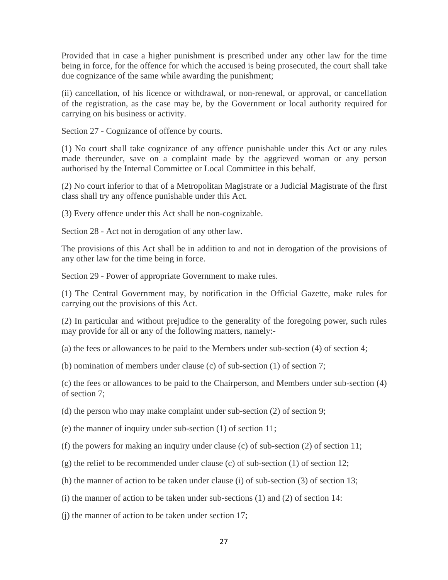Provided that in case a higher punishment is prescribed under any other law for the time being in force, for the offence for which the accused is being prosecuted, the court shall take due cognizance of the same while awarding the punishment;

(ii) cancellation, of his licence or withdrawal, or non-renewal, or approval, or cancellation of the registration, as the case may be, by the Government or local authority required for carrying on his business or activity.

Section 27 - Cognizance of offence by courts.

(1) No court shall take cognizance of any offence punishable under this Act or any rules made thereunder, save on a complaint made by the aggrieved woman or any person authorised by the Internal Committee or Local Committee in this behalf.

(2) No court inferior to that of a Metropolitan Magistrate or a Judicial Magistrate of the first class shall try any offence punishable under this Act.

(3) Every offence under this Act shall be non-cognizable.

Section 28 - Act not in derogation of any other law.

The provisions of this Act shall be in addition to and not in derogation of the provisions of any other law for the time being in force.

Section 29 - Power of appropriate Government to make rules.

(1) The Central Government may, by notification in the Official Gazette, make rules for carrying out the provisions of this Act.

(2) In particular and without prejudice to the generality of the foregoing power, such rules may provide for all or any of the following matters, namely:-

(a) the fees or allowances to be paid to the Members under sub-section (4) of section 4;

(b) nomination of members under clause (c) of sub-section (1) of section 7;

(c) the fees or allowances to be paid to the Chairperson, and Members under sub-section (4) of section 7;

(d) the person who may make complaint under sub-section (2) of section 9;

(e) the manner of inquiry under sub-section (1) of section 11;

(f) the powers for making an inquiry under clause (c) of sub-section (2) of section 11;

(g) the relief to be recommended under clause (c) of sub-section (1) of section 12;

(h) the manner of action to be taken under clause (i) of sub-section (3) of section 13;

(i) the manner of action to be taken under sub-sections  $(1)$  and  $(2)$  of section 14:

(j) the manner of action to be taken under section 17;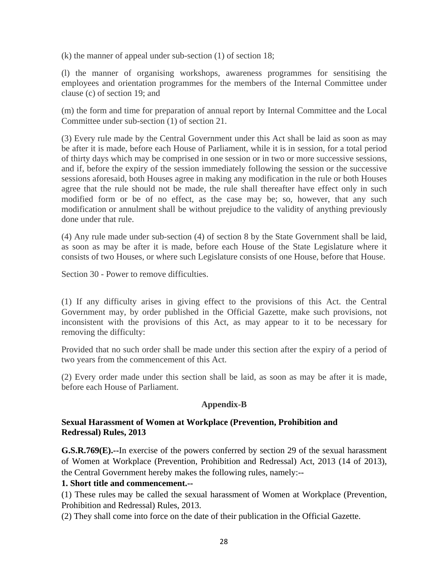(k) the manner of appeal under sub-section (1) of section 18;

(l) the manner of organising workshops, awareness programmes for sensitising the employees and orientation programmes for the members of the Internal Committee under clause (c) of section 19; and

(m) the form and time for preparation of annual report by Internal Committee and the Local Committee under sub-section (1) of section 21.

(3) Every rule made by the Central Government under this Act shall be laid as soon as may be after it is made, before each House of Parliament, while it is in session, for a total period of thirty days which may be comprised in one session or in two or more successive sessions, and if, before the expiry of the session immediately following the session or the successive sessions aforesaid, both Houses agree in making any modification in the rule or both Houses agree that the rule should not be made, the rule shall thereafter have effect only in such modified form or be of no effect, as the case may be; so, however, that any such modification or annulment shall be without prejudice to the validity of anything previously done under that rule.

(4) Any rule made under sub-section (4) of section 8 by the State Government shall be laid, as soon as may be after it is made, before each House of the State Legislature where it consists of two Houses, or where such Legislature consists of one House, before that House.

Section 30 - Power to remove difficulties.

(1) If any difficulty arises in giving effect to the provisions of this Act. the Central Government may, by order published in the Official Gazette, make such provisions, not inconsistent with the provisions of this Act, as may appear to it to be necessary for removing the difficulty:

Provided that no such order shall be made under this section after the expiry of a period of two years from the commencement of this Act.

(2) Every order made under this section shall be laid, as soon as may be after it is made, before each House of Parliament.

## **Appendix-B**

### **Sexual Harassment of Women at Workplace (Prevention, Prohibition and Redressal) Rules, 2013**

**G.S.R.769(E).--**In exercise of the powers conferred by section 29 of the sexual harassment of Women at Workplace (Prevention, Prohibition and Redressal) Act, 2013 (14 of 2013), the Central Government hereby makes the following rules, namely:--

## **1. Short title and commencement.--**

(1) These rules may be called the sexual harassment of Women at Workplace (Prevention, Prohibition and Redressal) Rules, 2013.

(2) They shall come into force on the date of their publication in the Official Gazette.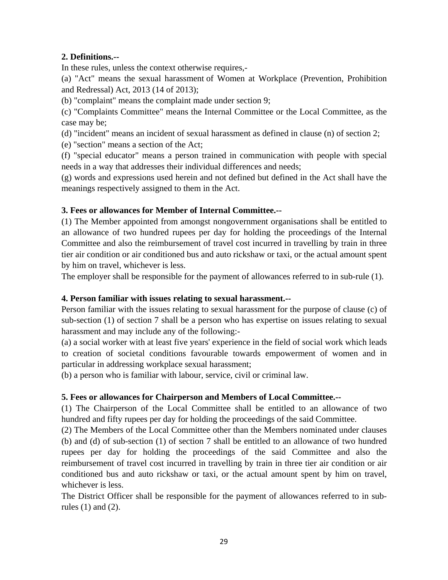## **2. Definitions.--**

In these rules, unless the context otherwise requires,-

(a) "Act" means the sexual harassment of Women at Workplace (Prevention, Prohibition and Redressal) Act, 2013 (14 of 2013);

(b) "complaint" means the complaint made under section 9;

(c) "Complaints Committee" means the Internal Committee or the Local Committee, as the case may be;

(d) "incident" means an incident of sexual harassment as defined in clause (n) of section 2;

(e) "section" means a section of the Act;

(f) "special educator" means a person trained in communication with people with special needs in a way that addresses their individual differences and needs;

(g) words and expressions used herein and not defined but defined in the Act shall have the meanings respectively assigned to them in the Act.

### **3. Fees or allowances for Member of Internal Committee.--**

(1) The Member appointed from amongst nongovernment organisations shall be entitled to an allowance of two hundred rupees per day for holding the proceedings of the Internal Committee and also the reimbursement of travel cost incurred in travelling by train in three tier air condition or air conditioned bus and auto rickshaw or taxi, or the actual amount spent by him on travel, whichever is less.

The employer shall be responsible for the payment of allowances referred to in sub-rule (1).

### **4. Person familiar with issues relating to sexual harassment.--**

Person familiar with the issues relating to sexual harassment for the purpose of clause (c) of sub-section (1) of section 7 shall be a person who has expertise on issues relating to sexual harassment and may include any of the following:-

(a) a social worker with at least five years' experience in the field of social work which leads to creation of societal conditions favourable towards empowerment of women and in particular in addressing workplace sexual harassment;

(b) a person who is familiar with labour, service, civil or criminal law.

## **5. Fees or allowances for Chairperson and Members of Local Committee.--**

(1) The Chairperson of the Local Committee shall be entitled to an allowance of two hundred and fifty rupees per day for holding the proceedings of the said Committee.

(2) The Members of the Local Committee other than the Members nominated under clauses (b) and (d) of sub-section (1) of section 7 shall be entitled to an allowance of two hundred rupees per day for holding the proceedings of the said Committee and also the reimbursement of travel cost incurred in travelling by train in three tier air condition or air conditioned bus and auto rickshaw or taxi, or the actual amount spent by him on travel, whichever is less.

The District Officer shall be responsible for the payment of allowances referred to in subrules (1) and (2).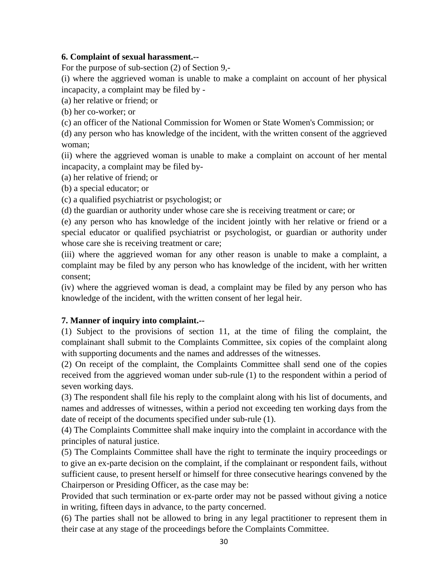### **6. Complaint of sexual harassment.--**

For the purpose of sub-section (2) of Section 9,-

(i) where the aggrieved woman is unable to make a complaint on account of her physical incapacity, a complaint may be filed by -

(a) her relative or friend; or

(b) her co-worker; or

(c) an officer of the National Commission for Women or State Women's Commission; or

(d) any person who has knowledge of the incident, with the written consent of the aggrieved woman;

(ii) where the aggrieved woman is unable to make a complaint on account of her mental incapacity, a complaint may be filed by-

(a) her relative of friend; or

(b) a special educator; or

(c) a qualified psychiatrist or psychologist; or

(d) the guardian or authority under whose care she is receiving treatment or care; or

(e) any person who has knowledge of the incident jointly with her relative or friend or a special educator or qualified psychiatrist or psychologist, or guardian or authority under whose care she is receiving treatment or care;

(iii) where the aggrieved woman for any other reason is unable to make a complaint, a complaint may be filed by any person who has knowledge of the incident, with her written consent;

(iv) where the aggrieved woman is dead, a complaint may be filed by any person who has knowledge of the incident, with the written consent of her legal heir.

## **7. Manner of inquiry into complaint.--**

(1) Subject to the provisions of section 11, at the time of filing the complaint, the complainant shall submit to the Complaints Committee, six copies of the complaint along with supporting documents and the names and addresses of the witnesses.

(2) On receipt of the complaint, the Complaints Committee shall send one of the copies received from the aggrieved woman under sub-rule (1) to the respondent within a period of seven working days.

(3) The respondent shall file his reply to the complaint along with his list of documents, and names and addresses of witnesses, within a period not exceeding ten working days from the date of receipt of the documents specified under sub-rule (1).

(4) The Complaints Committee shall make inquiry into the complaint in accordance with the principles of natural justice.

(5) The Complaints Committee shall have the right to terminate the inquiry proceedings or to give an ex-parte decision on the complaint, if the complainant or respondent fails, without sufficient cause, to present herself or himself for three consecutive hearings convened by the Chairperson or Presiding Officer, as the case may be:

Provided that such termination or ex-parte order may not be passed without giving a notice in writing, fifteen days in advance, to the party concerned.

(6) The parties shall not be allowed to bring in any legal practitioner to represent them in their case at any stage of the proceedings before the Complaints Committee.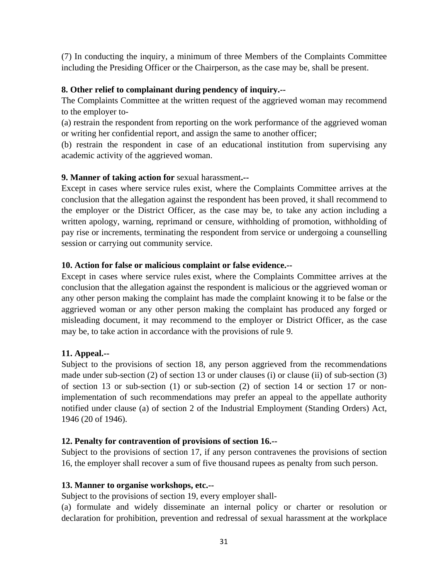(7) In conducting the inquiry, a minimum of three Members of the Complaints Committee including the Presiding Officer or the Chairperson, as the case may be, shall be present.

## **8. Other relief to complainant during pendency of inquiry.--**

The Complaints Committee at the written request of the aggrieved woman may recommend to the employer to-

(a) restrain the respondent from reporting on the work performance of the aggrieved woman or writing her confidential report, and assign the same to another officer;

(b) restrain the respondent in case of an educational institution from supervising any academic activity of the aggrieved woman.

## **9. Manner of taking action for** sexual harassment**.--**

Except in cases where service rules exist, where the Complaints Committee arrives at the conclusion that the allegation against the respondent has been proved, it shall recommend to the employer or the District Officer, as the case may be, to take any action including a written apology, warning, reprimand or censure, withholding of promotion, withholding of pay rise or increments, terminating the respondent from service or undergoing a counselling session or carrying out community service.

## **10. Action for false or malicious complaint or false evidence.--**

Except in cases where service rules exist, where the Complaints Committee arrives at the conclusion that the allegation against the respondent is malicious or the aggrieved woman or any other person making the complaint has made the complaint knowing it to be false or the aggrieved woman or any other person making the complaint has produced any forged or misleading document, it may recommend to the employer or District Officer, as the case may be, to take action in accordance with the provisions of rule 9.

## **11. Appeal.--**

Subject to the provisions of section 18, any person aggrieved from the recommendations made under sub-section (2) of section 13 or under clauses (i) or clause (ii) of sub-section (3) of section 13 or sub-section (1) or sub-section (2) of section 14 or section 17 or nonimplementation of such recommendations may prefer an appeal to the appellate authority notified under clause (a) of section 2 of the Industrial Employment (Standing Orders) Act, 1946 (20 of 1946).

## **12. Penalty for contravention of provisions of section 16.--**

Subject to the provisions of section 17, if any person contravenes the provisions of section 16, the employer shall recover a sum of five thousand rupees as penalty from such person.

## **13. Manner to organise workshops, etc.--**

Subject to the provisions of section 19, every employer shall-

(a) formulate and widely disseminate an internal policy or charter or resolution or declaration for prohibition, prevention and redressal of sexual harassment at the workplace